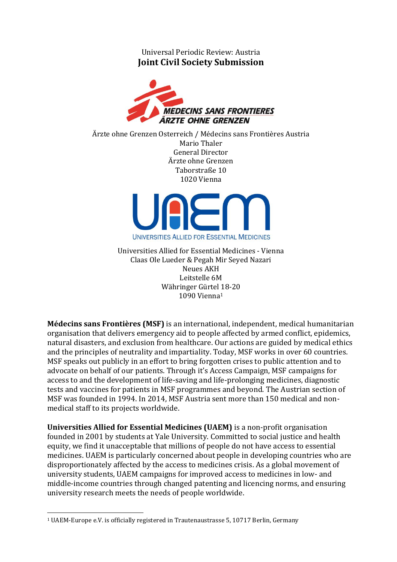Universal Periodic Review: Austria **Joint Civil Society Submission**



Ärzte ohne Grenzen Österreich / Médecins sans Frontières Austria Mario Thaler General Director Ärzte ohne Grenzen Taborstraße 10 1020 Vienna



Universities Allied for Essential Medicines - Vienna Claas Ole Lueder & Pegah Mir Seyed Nazari Neues AKH Leitstelle 6M Währinger Gürtel 18-20 1090 Vienna<sup>1</sup>

**Médecins sans Frontières (MSF)** is an international, independent, medical humanitarian organisation that delivers emergency aid to people affected by armed conflict, epidemics, natural disasters, and exclusion from healthcare. Our actions are guided by medical ethics and the principles of neutrality and impartiality. Today, MSF works in over 60 countries. MSF speaks out publicly in an effort to bring forgotten crises to public attention and to advocate on behalf of our patients. Through it's Access Campaign, MSF campaigns for access to and the development of life-saving and life-prolonging medicines, diagnostic tests and vaccines for patients in MSF programmes and beyond. The Austrian section of MSF was founded in 1994. In 2014, MSF Austria sent more than 150 medical and nonmedical staff to its projects worldwide.

**Universities Allied for Essential Medicines (UAEM)** is a non-profit organisation founded in 2001 by students at Yale University. Committed to social justice and health equity, we find it unacceptable that millions of people do not have access to essential medicines. UAEM is particularly concerned about people in developing countries who are disproportionately affected by the access to medicines crisis. As a global movement of university students, UAEM campaigns for improved access to medicines in low- and middle-income countries through changed patenting and licencing norms, and ensuring university research meets the needs of people worldwide.

 $\overline{\phantom{a}}$ <sup>1</sup> UAEM-Europe e.V. is officially registered in Trautenaustrasse 5, 10717 Berlin, Germany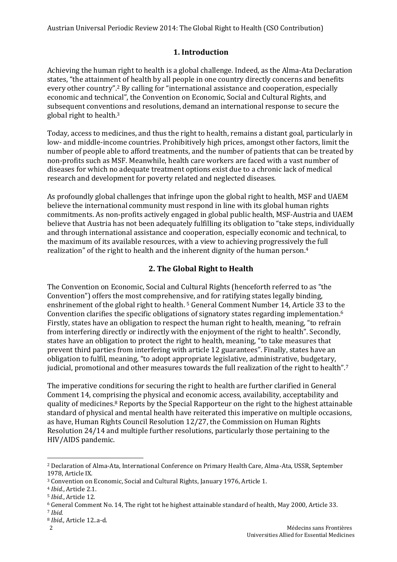## **1. Introduction**

Achieving the human right to health is a global challenge. Indeed, as the Alma-Ata Declaration states, "the attainment of health by all people in one country directly concerns and benefits every other country".<sup>2</sup> By calling for "international assistance and cooperation, especially economic and technical", the Convention on Economic, Social and Cultural Rights, and subsequent conventions and resolutions, demand an international response to secure the global right to health. 3

Today, access to medicines, and thus the right to health, remains a distant goal, particularly in low- and middle-income countries. Prohibitively high prices, amongst other factors, limit the number of people able to afford treatments, and the number of patients that can be treated by non-profits such as MSF. Meanwhile, health care workers are faced with a vast number of diseases for which no adequate treatment options exist due to a chronic lack of medical research and development for poverty related and neglected diseases.

As profoundly global challenges that infringe upon the global right to health, MSF and UAEM believe the international community must respond in line with its global human rights commitments. As non-profits actively engaged in global public health, MSF-Austria and UAEM believe that Austria has not been adequately fulfilling its obligation to "take steps, individually and through international assistance and cooperation, especially economic and technical, to the maximum of its available resources, with a view to achieving progressively the full realization" of the right to health and the inherent dignity of the human person. 4

## **2. The Global Right to Health**

The Convention on Economic, Social and Cultural Rights (henceforth referred to as "the Convention") offers the most comprehensive, and for ratifying states legally binding, enshrinement of the global right to health. <sup>5</sup> General Comment Number 14, Article 33 to the Convention clarifies the specific obligations of signatory states regarding implementation. 6 Firstly, states have an obligation to respect the human right to health, meaning, "to refrain from interfering directly or indirectly with the enjoyment of the right to health". Secondly, states have an obligation to protect the right to health, meaning, "to take measures that prevent third parties from interfering with article 12 guarantees". Finally, states have an obligation to fulfil, meaning, "to adopt appropriate legislative, administrative, budgetary, judicial, promotional and other measures towards the full realization of the right to health".<sup>7</sup>

The imperative conditions for securing the right to health are further clarified in General Comment 14, comprising the physical and economic access, availability, acceptability and quality of medicines. <sup>8</sup> Reports by the Special Rapporteur on the right to the highest attainable standard of physical and mental health have reiterated this imperative on multiple occasions, as have, Human Rights Council Resolution 12/27, the Commission on Human Rights Resolution 24/14 and multiple further resolutions, particularly those pertaining to the HIV/AIDS pandemic.

<sup>8</sup> *Ibid.,* Article 12..a-d.

 $\overline{a}$ <sup>2</sup> Declaration of Alma-Ata, International Conference on Primary Health Care, Alma-Ata, USSR, September 1978, Article IX.

<sup>3</sup> Convention on Economic, Social and Cultural Rights, January 1976, Article 1.

<sup>4</sup> *Ibid.*, Article 2.1.

<sup>5</sup> *Ibid.*, Article 12.

<sup>6</sup> General Comment No. 14, The right tot he highest attainable standard of health, May 2000, Article 33.

<sup>7</sup> *Ibid.*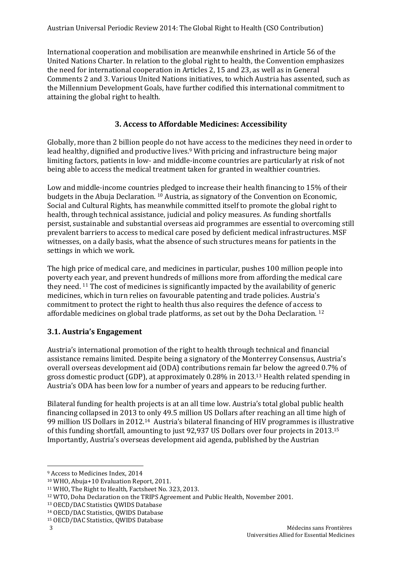International cooperation and mobilisation are meanwhile enshrined in Article 56 of the United Nations Charter. In relation to the global right to health, the Convention emphasizes the need for international cooperation in Articles 2, 15 and 23, as well as in General Comments 2 and 3. Various United Nations initiatives, to which Austria has assented, such as the Millennium Development Goals, have further codified this international commitment to attaining the global right to health.

## **3. Access to Affordable Medicines: Accessibility**

Globally, more than 2 billion people do not have access to the medicines they need in order to lead healthy, dignified and productive lives. <sup>9</sup> With pricing and infrastructure being major limiting factors, patients in low- and middle-income countries are particularly at risk of not being able to access the medical treatment taken for granted in wealthier countries.

Low and middle-income countries pledged to increase their health financing to 15% of their budgets in the Abuja Declaration. <sup>10</sup> Austria, as signatory of the Convention on Economic, Social and Cultural Rights, has meanwhile committed itself to promote the global right to health, through technical assistance, judicial and policy measures. As funding shortfalls persist, sustainable and substantial overseas aid programmes are essential to overcoming still prevalent barriers to access to medical care posed by deficient medical infrastructures. MSF witnesses, on a daily basis, what the absence of such structures means for patients in the settings in which we work.

The high price of medical care, and medicines in particular, pushes 100 million people into poverty each year, and prevent hundreds of millions more from affording the medical care they need. <sup>11</sup> The cost of medicines is significantly impacted by the availability of generic medicines, which in turn relies on favourable patenting and trade policies. Austria's commitment to protect the right to health thus also requires the defence of access to affordable medicines on global trade platforms, as set out by the Doha Declaration. <sup>12</sup>

## **3.1. Austria's Engagement**

Austria's international promotion of the right to health through technical and financial assistance remains limited. Despite being a signatory of the Monterrey Consensus, Austria's overall overseas development aid (ODA) contributions remain far below the agreed 0.7% of gross domestic product (GDP), at approximately 0.28% in 2013.<sup>13</sup> Health related spending in Austria's ODA has been low for a number of years and appears to be reducing further.

Bilateral funding for health projects is at an all time low. Austria's total global public health financing collapsed in 2013 to only 49.5 million US Dollars after reaching an all time high of 99 million US Dollars in 2012.<sup>14</sup> Austria's bilateral financing of HIV programmes is illustrative of this funding shortfall, amounting to just 92,937 US Dollars over four projects in 2013. 15 Importantly, Austria's overseas development aid agenda, published by the Austrian

<sup>9</sup> Access to Medicines Index, 2014

<sup>10</sup> WHO, Abuja+10 Evaluation Report, 2011.

<sup>11</sup> WHO, The Right to Health, Factsheet No. 323, 2013.

<sup>12</sup> WTO, Doha Declaration on the TRIPS Agreement and Public Health, November 2001.

<sup>13</sup> OECD/DAC Statistics QWIDS Database

<sup>14</sup> OECD/DAC Statistics, QWIDS Database

<sup>15</sup> OECD/DAC Statistics, QWIDS Database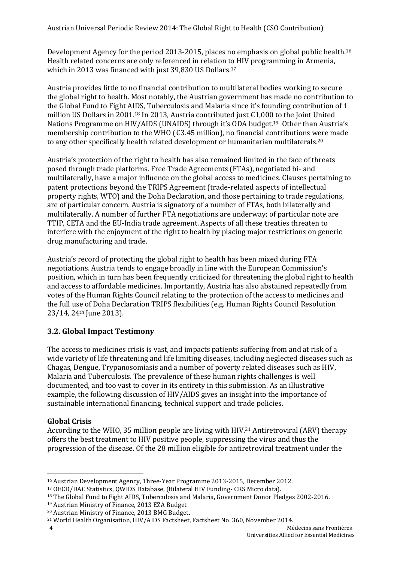Development Agency for the period 2013-2015, places no emphasis on global public health.<sup>16</sup> Health related concerns are only referenced in relation to HIV programming in Armenia, which in 2013 was financed with just 39,830 US Dollars. 17

Austria provides little to no financial contribution to multilateral bodies working to secure the global right to health. Most notably, the Austrian government has made no contribution to the Global Fund to Fight AIDS, Tuberculosis and Malaria since it's founding contribution of 1 million US Dollars in 2001.<sup>18</sup> In 2013, Austria contributed just €1,000 to the Joint United Nations Programme on HIV/AIDS (UNAIDS) through it's ODA budget. <sup>19</sup> Other than Austria's membership contribution to the WHO ( $\epsilon$ 3.45 million), no financial contributions were made to any other specifically health related development or humanitarian multilaterals. 20

Austria's protection of the right to health has also remained limited in the face of threats posed through trade platforms. Free Trade Agreements (FTAs), negotiated bi- and multilaterally, have a major influence on the global access to medicines. Clauses pertaining to patent protections beyond the TRIPS Agreement (trade-related aspects of intellectual property rights, WTO) and the Doha Declaration, and those pertaining to trade regulations, are of particular concern. Austria is signatory of a number of FTAs, both bilaterally and multilaterally. A number of further FTA negotiations are underway; of particular note are TTIP, CETA and the EU-India trade agreement. Aspects of all these treaties threaten to interfere with the enjoyment of the right to health by placing major restrictions on generic drug manufacturing and trade.

Austria's record of protecting the global right to health has been mixed during FTA negotiations. Austria tends to engage broadly in line with the European Commission's position, which in turn has been frequently criticized for threatening the global right to health and access to affordable medicines. Importantly, Austria has also abstained repeatedly from votes of the Human Rights Council relating to the protection of the access to medicines and the full use of Doha Declaration TRIPS flexibilities (e.g. Human Rights Council Resolution 23/14, 24th June 2013).

## **3.2. Global Impact Testimony**

The access to medicines crisis is vast, and impacts patients suffering from and at risk of a wide variety of life threatening and life limiting diseases, including neglected diseases such as Chagas, Dengue, Trypanosomiasis and a number of poverty related diseases such as HIV, Malaria and Tuberculosis. The prevalence of these human rights challenges is well documented, and too vast to cover in its entirety in this submission. As an illustrative example, the following discussion of HIV/AIDS gives an insight into the importance of sustainable international financing, technical support and trade policies.

#### **Global Crisis**

According to the WHO, 35 million people are living with HIV.<sup>21</sup> Antiretroviral (ARV) therapy offers the best treatment to HIV positive people, suppressing the virus and thus the progression of the disease. Of the 28 million eligible for antiretroviral treatment under the

 $\overline{\phantom{a}}$ <sup>16</sup> Austrian Development Agency, Three-Year Programme 2013-2015, December 2012.

<sup>17</sup> OECD/DAC Statistics, QWIDS Database, (Bilateral HIV Funding- CRS Micro data).

<sup>&</sup>lt;sup>18</sup> The Global Fund to Fight AIDS, Tuberculosis and Malaria, Government Donor Pledges 2002-2016.

<sup>19</sup> Austrian Ministry of Finance, 2013 EZA Budget

<sup>20</sup> Austrian Ministry of Finance, 2013 BMG Budget.

<sup>21</sup> World Health Organisation, HIV/AIDS Factsheet, Factsheet No. 360, November 2014.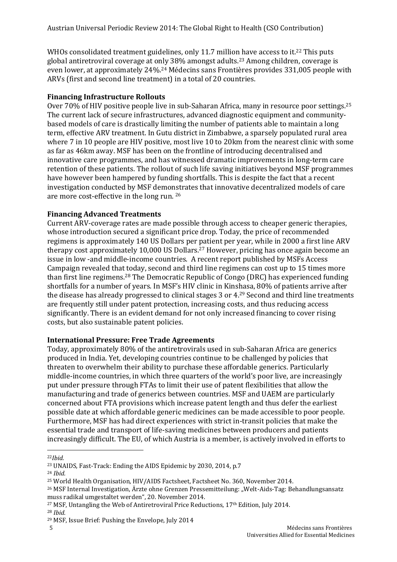WHOs consolidated treatment guidelines, only 11.7 million have access to it.<sup>22</sup> This puts global antiretroviral coverage at only 38% amongst adults.<sup>23</sup> Among children, coverage is even lower, at approximately 24%.<sup>24</sup> Médecins sans Frontières provides 331,005 people with ARVs (first and second line treatment) in a total of 20 countries.

#### **Financing Infrastructure Rollouts**

Over 70% of HIV positive people live in sub-Saharan Africa, many in resource poor settings.<sup>25</sup> The current lack of secure infrastructures, advanced diagnostic equipment and communitybased models of care is drastically limiting the number of patients able to maintain a long term, effective ARV treatment. In Gutu district in Zimbabwe, a sparsely populated rural area where 7 in 10 people are HIV positive, most live 10 to 20 km from the nearest clinic with some as far as 46km away. MSF has been on the frontline of introducing decentralised and innovative care programmes, and has witnessed dramatic improvements in long-term care retention of these patients. The rollout of such life saving initiatives beyond MSF programmes have however been hampered by funding shortfalls. This is despite the fact that a recent investigation conducted by MSF demonstrates that innovative decentralized models of care are more cost-effective in the long run. <sup>26</sup>

#### **Financing Advanced Treatments**

Current ARV-coverage rates are made possible through access to cheaper generic therapies, whose introduction secured a significant price drop. Today, the price of recommended regimens is approximately 140 US Dollars per patient per year, while in 2000 a first line ARV therapy cost approximately 10,000 US Dollars.<sup>27</sup> However, pricing has once again become an issue in low -and middle-income countries. A recent report published by MSFs Access Campaign revealed that today, second and third line regimens can cost up to 15 times more than first line regimens.<sup>28</sup> The Democratic Republic of Congo (DRC) has experienced funding shortfalls for a number of years. In MSF's HIV clinic in Kinshasa, 80% of patients arrive after the disease has already progressed to clinical stages 3 or 4.<sup>29</sup> Second and third line treatments are frequently still under patent protection, increasing costs, and thus reducing access significantly. There is an evident demand for not only increased financing to cover rising costs, but also sustainable patent policies.

#### **International Pressure: Free Trade Agreements**

Today, approximately 80% of the antiretrovirals used in sub-Saharan Africa are generics produced in India. Yet, developing countries continue to be challenged by policies that threaten to overwhelm their ability to purchase these affordable generics. Particularly middle-income countries, in which three quarters of the world's poor live, are increasingly put under pressure through FTAs to limit their use of patent flexibilities that allow the manufacturing and trade of generics between countries. MSF and UAEM are particularly concerned about FTA provisions which increase patent length and thus defer the earliest possible date at which affordable generic medicines can be made accessible to poor people. Furthermore, MSF has had direct experiences with strict in-transit policies that make the essential trade and transport of life-saving medicines between producers and patients increasingly difficult. The EU, of which Austria is a member, is actively involved in efforts to

<sup>26</sup> MSF Internal Investigation, Ärzte ohne Grenzen Pressemitteilung: "Welt-Aids-Tag: Behandlungsansatz muss radikal umgestaltet werden", 20. November 2014.

 $\overline{a}$ <sup>22</sup>*Ibid.*

<sup>23</sup> UNAIDS, Fast-Track: Ending the AIDS Epidemic by 2030, 2014, p.7

<sup>24</sup> *Ibid.* 

<sup>25</sup> World Health Organisation, HIV/AIDS Factsheet, Factsheet No. 360, November 2014.

<sup>27</sup> MSF, Untangling the Web of Antiretroviral Price Reductions, 17th Edition, July 2014.

<sup>28</sup> *Ibid.* 

<sup>29</sup> MSF, Issue Brief: Pushing the Envelope, July 2014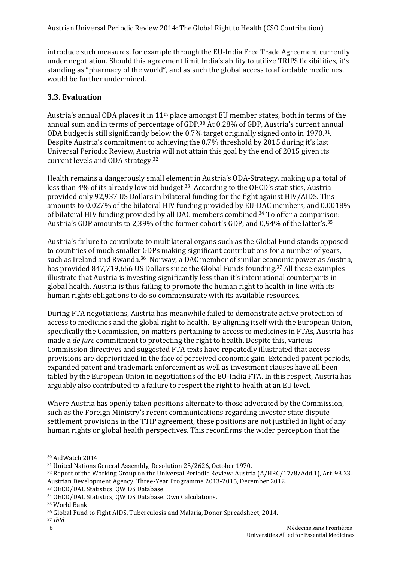introduce such measures, for example through the EU-India Free Trade Agreement currently under negotiation. Should this agreement limit India's ability to utilize TRIPS flexibilities, it's standing as "pharmacy of the world", and as such the global access to affordable medicines, would be further undermined.

## **3.3. Evaluation**

Austria's annual ODA places it in 11th place amongst EU member states, both in terms of the annual sum and in terms of percentage of GDP.<sup>30</sup> At 0.28% of GDP, Austria's current annual ODA budget is still significantly below the 0.7% target originally signed onto in 1970.31. Despite Austria's commitment to achieving the 0.7% threshold by 2015 during it's last Universal Periodic Review, Austria will not attain this goal by the end of 2015 given its current levels and ODA strategy.<sup>32</sup>

Health remains a dangerously small element in Austria's ODA-Strategy, making up a total of less than 4% of its already low aid budget.33 According to the OECD's statistics, Austria provided only 92,937 US Dollars in bilateral funding for the fight against HIV/AIDS. This amounts to 0.027% of the bilateral HIV funding provided by EU-DAC members, and 0.0018% of bilateral HIV funding provided by all DAC members combined. <sup>34</sup> To offer a comparison: Austria's GDP amounts to 2,39% of the former cohort's GDP, and 0,94% of the latter's.<sup>35</sup>

Austria's failure to contribute to multilateral organs such as the Global Fund stands opposed to countries of much smaller GDPs making significant contributions for a number of years, such as Ireland and Rwanda.<sup>36</sup> Norway, a DAC member of similar economic power as Austria, has provided 847,719,656 US Dollars since the Global Funds founding.<sup>37</sup> All these examples illustrate that Austria is investing significantly less than it's international counterparts in global health. Austria is thus failing to promote the human right to health in line with its human rights obligations to do so commensurate with its available resources.

During FTA negotiations, Austria has meanwhile failed to demonstrate active protection of access to medicines and the global right to health. By aligning itself with the European Union, specifically the Commission, on matters pertaining to access to medicines in FTAs, Austria has made a *de jure* commitment to protecting the right to health. Despite this, various Commission directives and suggested FTA texts have repeatedly illustrated that access provisions are deprioritized in the face of perceived economic gain. Extended patent periods, expanded patent and trademark enforcement as well as investment clauses have all been tabled by the European Union in negotiations of the EU-India FTA. In this respect, Austria has arguably also contributed to a failure to respect the right to health at an EU level.

Where Austria has openly taken positions alternate to those advocated by the Commission, such as the Foreign Ministry's recent communications regarding investor state dispute settlement provisions in the TTIP agreement, these positions are not justified in light of any human rights or global health perspectives. This reconfirms the wider perception that the

 $\overline{a}$ 

<sup>30</sup> AidWatch 2014

<sup>31</sup> United Nations General Assembly, Resolution 25/2626, October 1970.

<sup>32</sup> Report of the Working Group on the Universal Periodic Review: Austria (A/HRC/17/8/Add.1), Art. 93.33. Austrian Development Agency, Three-Year Programme 2013-2015, December 2012.

<sup>33</sup> OECD/DAC Statistics, QWIDS Database

<sup>34</sup> OECD/DAC Statistics, QWIDS Database. Own Calculations.

<sup>35</sup> World Bank

<sup>36</sup> Global Fund to Fight AIDS, Tuberculosis and Malaria, Donor Spreadsheet, 2014.

<sup>37</sup> *Ibid.*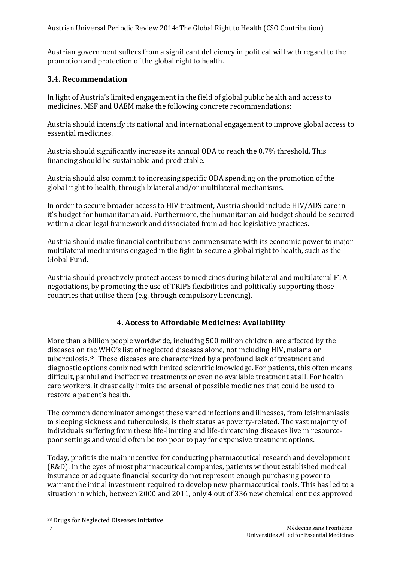Austrian government suffers from a significant deficiency in political will with regard to the promotion and protection of the global right to health.

### **3.4. Recommendation**

In light of Austria's limited engagement in the field of global public health and access to medicines, MSF and UAEM make the following concrete recommendations:

Austria should intensify its national and international engagement to improve global access to essential medicines.

Austria should significantly increase its annual ODA to reach the 0.7% threshold. This financing should be sustainable and predictable.

Austria should also commit to increasing specific ODA spending on the promotion of the global right to health, through bilateral and/or multilateral mechanisms.

In order to secure broader access to HIV treatment, Austria should include HIV/ADS care in it's budget for humanitarian aid. Furthermore, the humanitarian aid budget should be secured within a clear legal framework and dissociated from ad-hoc legislative practices.

Austria should make financial contributions commensurate with its economic power to major multilateral mechanisms engaged in the fight to secure a global right to health, such as the Global Fund.

Austria should proactively protect access to medicines during bilateral and multilateral FTA negotiations, by promoting the use of TRIPS flexibilities and politically supporting those countries that utilise them (e.g. through compulsory licencing).

## **4. Access to Affordable Medicines: Availability**

More than a billion people worldwide, including 500 million children, are affected by the diseases on the WHO's list of neglected diseases alone, not including HIV, malaria or tuberculosis.<sup>38</sup> These diseases are characterized by a profound lack of treatment and diagnostic options combined with limited scientific knowledge. For patients, this often means difficult, painful and ineffective treatments or even no available treatment at all. For health care workers, it drastically limits the arsenal of possible medicines that could be used to restore a patient's health.

The common denominator amongst these varied infections and illnesses, from leishmaniasis to sleeping sickness and tuberculosis, is their status as poverty-related. The vast majority of individuals suffering from these life-limiting and life-threatening diseases live in resourcepoor settings and would often be too poor to pay for expensive treatment options.

Today, profit is the main incentive for conducting pharmaceutical research and development (R&D). In the eyes of most pharmaceutical companies, patients without established medical insurance or adequate financial security do not represent enough purchasing power to warrant the initial investment required to develop new pharmaceutical tools. This has led to a situation in which, between 2000 and 2011, only 4 out of 336 new chemical entities approved

<sup>38</sup> Drugs for Neglected Diseases Initiative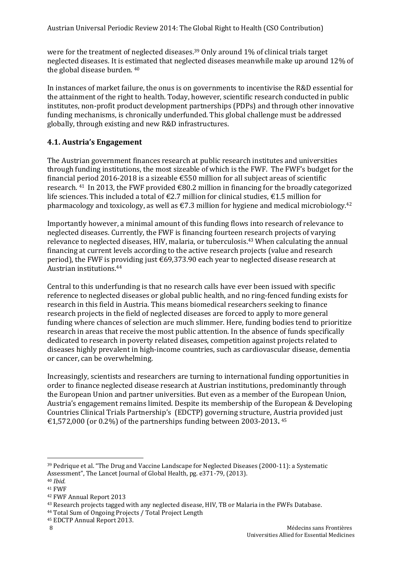were for the treatment of neglected diseases.<sup>39</sup> Only around 1% of clinical trials target neglected diseases. It is estimated that neglected diseases meanwhile make up around 12% of the global disease burden. <sup>40</sup>

In instances of market failure, the onus is on governments to incentivise the R&D essential for the attainment of the right to health. Today, however, scientific research conducted in public institutes, non-profit product development partnerships (PDPs) and through other innovative funding mechanisms, is chronically underfunded. This global challenge must be addressed globally, through existing and new R&D infrastructures.

## **4.1. Austria's Engagement**

The Austrian government finances research at public research institutes and universities through funding institutions, the most sizeable of which is the FWF. The FWF's budget for the financial period 2016-2018 is a sizeable  $\epsilon$ 550 million for all subject areas of scientific research. <sup>41</sup> In 2013, the FWF provided €80.2 million in financing for the broadly categorized life sciences. This included a total of  $\epsilon$ 2.7 million for clinical studies,  $\epsilon$ 1.5 million for pharmacology and toxicology, as well as  $\epsilon$ 7.3 million for hygiene and medical microbiology.<sup>42</sup>

Importantly however, a minimal amount of this funding flows into research of relevance to neglected diseases. Currently, the FWF is financing fourteen research projects of varying relevance to neglected diseases, HIV, malaria, or tuberculosis. <sup>43</sup> When calculating the annual financing at current levels according to the active research projects (value and research period), the FWF is providing just €69,373.90 each year to neglected disease research at Austrian institutions. 44

Central to this underfunding is that no research calls have ever been issued with specific reference to neglected diseases or global public health, and no ring-fenced funding exists for research in this field in Austria. This means biomedical researchers seeking to finance research projects in the field of neglected diseases are forced to apply to more general funding where chances of selection are much slimmer. Here, funding bodies tend to prioritize research in areas that receive the most public attention. In the absence of funds specifically dedicated to research in poverty related diseases, competition against projects related to diseases highly prevalent in high-income countries, such as cardiovascular disease, dementia or cancer, can be overwhelming.

Increasingly, scientists and researchers are turning to international funding opportunities in order to finance neglected disease research at Austrian institutions, predominantly through the European Union and partner universities. But even as a member of the European Union, Austria's engagement remains limited. Despite its membership of the European & Developing Countries Clinical Trials Partnership's (EDCTP) governing structure, Austria provided just €1,572,000 (or 0.2%) of the partnerships funding between 2003-2013**.** 45

 $\overline{a}$ 

<sup>39</sup> Pedrique et al. "The Drug and Vaccine Landscape for Neglected Diseases (2000-11): a Systematic Assessment", The Lancet Journal of Global Health, pg. e371-79, (2013).

<sup>40</sup> *Ibid.*

<sup>41</sup> FWF

<sup>42</sup> FWF Annual Report 2013

<sup>43</sup> Research projects tagged with any neglected disease, HIV, TB or Malaria in the FWFs Database.

<sup>44</sup> Total Sum of Ongoing Projects / Total Project Length

<sup>45</sup> EDCTP Annual Report 2013.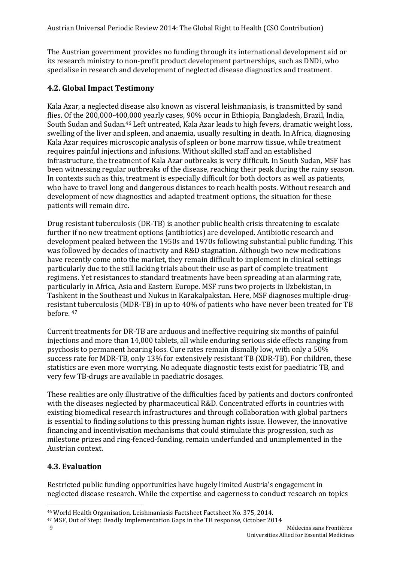The Austrian government provides no funding through its international development aid or its research ministry to non-profit product development partnerships, such as DNDi, who specialise in research and development of neglected disease diagnostics and treatment.

## **4.2. Global Impact Testimony**

Kala Azar, a neglected disease also known as visceral leishmaniasis, is transmitted by sand flies. Of the 200,000-400,000 yearly cases, 90% occur in Ethiopia, Bangladesh, Brazil, India, South Sudan and Sudan.<sup>46</sup> Left untreated, Kala Azar leads to high fevers, dramatic weight loss, swelling of the liver and spleen, and anaemia, usually resulting in death. In Africa, diagnosing Kala Azar requires microscopic analysis of spleen or bone marrow tissue, while treatment requires painful injections and infusions. Without skilled staff and an established infrastructure, the treatment of Kala Azar outbreaks is very difficult. In South Sudan, MSF has been witnessing regular outbreaks of the disease, reaching their peak during the rainy season. In contexts such as this, treatment is especially difficult for both doctors as well as patients, who have to travel long and dangerous distances to reach health posts. Without research and development of new diagnostics and adapted treatment options, the situation for these patients will remain dire.

Drug resistant tuberculosis (DR-TB) is another public health crisis threatening to escalate further if no new treatment options (antibiotics) are developed. Antibiotic research and development peaked between the 1950s and 1970s following substantial public funding. This was followed by decades of inactivity and R&D stagnation. Although two new medications have recently come onto the market, they remain difficult to implement in clinical settings particularly due to the still lacking trials about their use as part of complete treatment regimens. Yet resistances to standard treatments have been spreading at an alarming rate, particularly in Africa, Asia and Eastern Europe. MSF runs two projects in Uzbekistan, in Tashkent in the Southeast und Nukus in Karakalpakstan. Here, MSF diagnoses multiple-drugresistant tuberculosis (MDR-TB) in up to 40% of patients who have never been treated for TB before. <sup>47</sup>

Current treatments for DR-TB are arduous and ineffective requiring six months of painful injections and more than 14,000 tablets, all while enduring serious side effects ranging from psychosis to permanent hearing loss. Cure rates remain dismally low, with only a 50% success rate for MDR-TB, only 13% for extensively resistant TB (XDR-TB). For children, these statistics are even more worrying. No adequate diagnostic tests exist for paediatric TB, and very few TB-drugs are available in paediatric dosages.

These realities are only illustrative of the difficulties faced by patients and doctors confronted with the diseases neglected by pharmaceutical R&D. Concentrated efforts in countries with existing biomedical research infrastructures and through collaboration with global partners is essential to finding solutions to this pressing human rights issue. However, the innovative financing and incentivisation mechanisms that could stimulate this progression, such as milestone prizes and ring-fenced-funding, remain underfunded and unimplemented in the Austrian context.

# **4.3. Evaluation**

Restricted public funding opportunities have hugely limited Austria's engagement in neglected disease research. While the expertise and eagerness to conduct research on topics

<sup>46</sup> World Health Organisation, Leishmaniasis Factsheet Factsheet No. 375, 2014.

<sup>47</sup> MSF, Out of Step: Deadly Implementation Gaps in the TB response, October 2014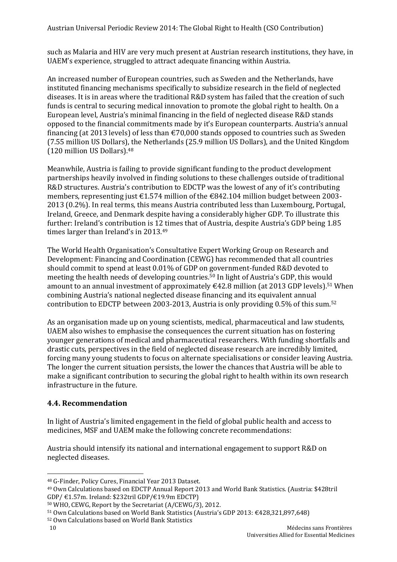such as Malaria and HIV are very much present at Austrian research institutions, they have, in UAEM's experience, struggled to attract adequate financing within Austria.

An increased number of European countries, such as Sweden and the Netherlands, have instituted financing mechanisms specifically to subsidize research in the field of neglected diseases. It is in areas where the traditional R&D system has failed that the creation of such funds is central to securing medical innovation to promote the global right to health. On a European level, Austria's minimal financing in the field of neglected disease R&D stands opposed to the financial commitments made by it's European counterparts. Austria's annual financing (at 2013 levels) of less than  $\epsilon$ 70,000 stands opposed to countries such as Sweden (7.55 million US Dollars), the Netherlands (25.9 million US Dollars), and the United Kingdom (120 million US Dollars).<sup>48</sup>

Meanwhile, Austria is failing to provide significant funding to the product development partnerships heavily involved in finding solutions to these challenges outside of traditional R&D structures. Austria's contribution to EDCTP was the lowest of any of it's contributing members, representing just €1.574 million of the €842.104 million budget between 2003- 2013 (0.2%). In real terms, this means Austria contributed less than Luxembourg, Portugal, Ireland, Greece, and Denmark despite having a considerably higher GDP. To illustrate this further: Ireland's contribution is 12 times that of Austria, despite Austria's GDP being 1.85 times larger than Ireland's in 2013. 49

The World Health Organisation's Consultative Expert Working Group on Research and Development: Financing and Coordination (CEWG) has recommended that all countries should commit to spend at least 0.01% of GDP on government-funded R&D devoted to meeting the health needs of developing countries.<sup>50</sup> In light of Austria's GDP, this would amount to an annual investment of approximately  $\epsilon$ 42.8 million (at 2013 GDP levels).<sup>51</sup> When combining Austria's national neglected disease financing and its equivalent annual contribution to EDCTP between 2003-2013, Austria is only providing 0.5% of this sum.<sup>52</sup>

As an organisation made up on young scientists, medical, pharmaceutical and law students, UAEM also wishes to emphasise the consequences the current situation has on fostering younger generations of medical and pharmaceutical researchers. With funding shortfalls and drastic cuts, perspectives in the field of neglected disease research are incredibly limited, forcing many young students to focus on alternate specialisations or consider leaving Austria. The longer the current situation persists, the lower the chances that Austria will be able to make a significant contribution to securing the global right to health within its own research infrastructure in the future.

## **4.4. Recommendation**

In light of Austria's limited engagement in the field of global public health and access to medicines, MSF and UAEM make the following concrete recommendations:

Austria should intensify its national and international engagement to support R&D on neglected diseases.

 $\overline{\phantom{a}}$ <sup>48</sup> G-Finder, Policy Cures, Financial Year 2013 Dataset.

<sup>49</sup> Own Calculations based on EDCTP Annual Report 2013 and World Bank Statistics. (Austria: \$428tril GDP/ €1.57m. Ireland: \$232tril GDP/€19.9m EDCTP)

<sup>50</sup> WHO, CEWG, Report by the Secretariat (A/CEWG/3), 2012.

<sup>51</sup> Own Calculations based on World Bank Statistics (Austria's GDP 2013: €428,321,897,648)

<sup>52</sup> Own Calculations based on World Bank Statistics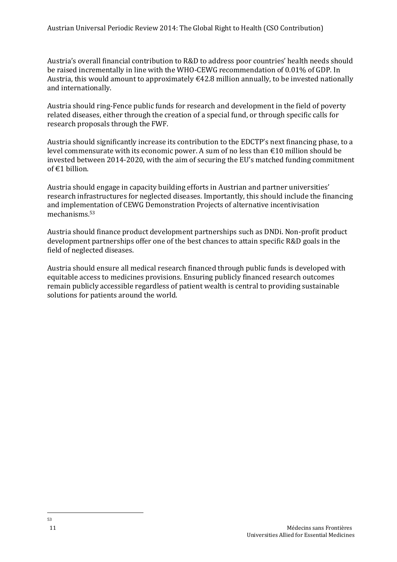Austria's overall financial contribution to R&D to address poor countries' health needs should be raised incrementally in line with the WHO-CEWG recommendation of 0.01% of GDP. In Austria, this would amount to approximately  $\epsilon$ 42.8 million annually, to be invested nationally and internationally.

Austria should ring-Fence public funds for research and development in the field of poverty related diseases, either through the creation of a special fund, or through specific calls for research proposals through the FWF.

Austria should significantly increase its contribution to the EDCTP's next financing phase, to a level commensurate with its economic power. A sum of no less than €10 million should be invested between 2014-2020, with the aim of securing the EU's matched funding commitment of €1 billion.

Austria should engage in capacity building efforts in Austrian and partner universities' research infrastructures for neglected diseases. Importantly, this should include the financing and implementation of CEWG Demonstration Projects of alternative incentivisation mechanisms.<sup>53</sup>

Austria should finance product development partnerships such as DNDi. Non-profit product development partnerships offer one of the best chances to attain specific R&D goals in the field of neglected diseases.

Austria should ensure all medical research financed through public funds is developed with equitable access to medicines provisions. Ensuring publicly financed research outcomes remain publicly accessible regardless of patient wealth is central to providing sustainable solutions for patients around the world.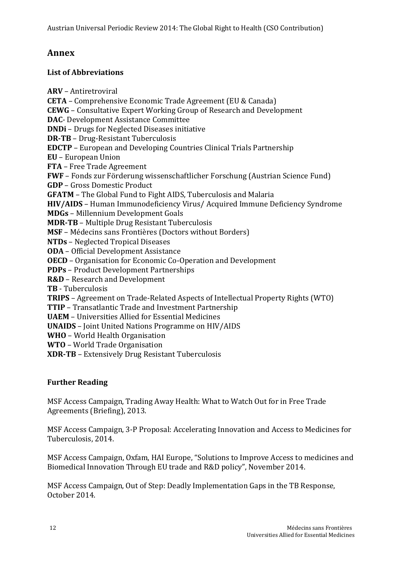# **Annex**

## **List of Abbreviations**

**ARV** – Antiretroviral **CETA** – Comprehensive Economic Trade Agreement (EU & Canada) **CEWG** – Consultative Expert Working Group of Research and Development **DAC**- Development Assistance Committee **DNDi** – Drugs for Neglected Diseases initiative **DR-TB** – Drug-Resistant Tuberculosis **EDCTP** – European and Developing Countries Clinical Trials Partnership **EU** – European Union **FTA** – Free Trade Agreement **FWF** – Fonds zur Förderung wissenschaftlicher Forschung (Austrian Science Fund) **GDP** – Gross Domestic Product **GFATM** – The Global Fund to Fight AIDS, Tuberculosis and Malaria **HIV/AIDS** – Human Immunodeficiency Virus/ Acquired Immune Deficiency Syndrome **MDGs** – Millennium Development Goals **MDR-TB** – Multiple Drug Resistant Tuberculosis **MSF** – Médecins sans Frontières (Doctors without Borders) **NTDs** – Neglected Tropical Diseases **ODA** – Official Development Assistance **OECD** – Organisation for Economic Co-Operation and Development **PDPs** – Product Development Partnerships **R&D** – Research and Development **TB** - Tuberculosis **TRIPS** – Agreement on Trade-Related Aspects of Intellectual Property Rights (WTO) **TTIP** – Transatlantic Trade and Investment Partnership **UAEM** – Universities Allied for Essential Medicines **UNAIDS** – Joint United Nations Programme on HIV/AIDS **WHO** – World Health Organisation **WTO** – World Trade Organisation **XDR-TB** – Extensively Drug Resistant Tuberculosis

## **Further Reading**

MSF Access Campaign, Trading Away Health: What to Watch Out for in Free Trade Agreements (Briefing), 2013.

MSF Access Campaign, 3-P Proposal: Accelerating Innovation and Access to Medicines for Tuberculosis, 2014.

MSF Access Campaign, Oxfam, HAI Europe, "Solutions to Improve Access to medicines and Biomedical Innovation Through EU trade and R&D policy", November 2014.

MSF Access Campaign, Out of Step: Deadly Implementation Gaps in the TB Response, October 2014.